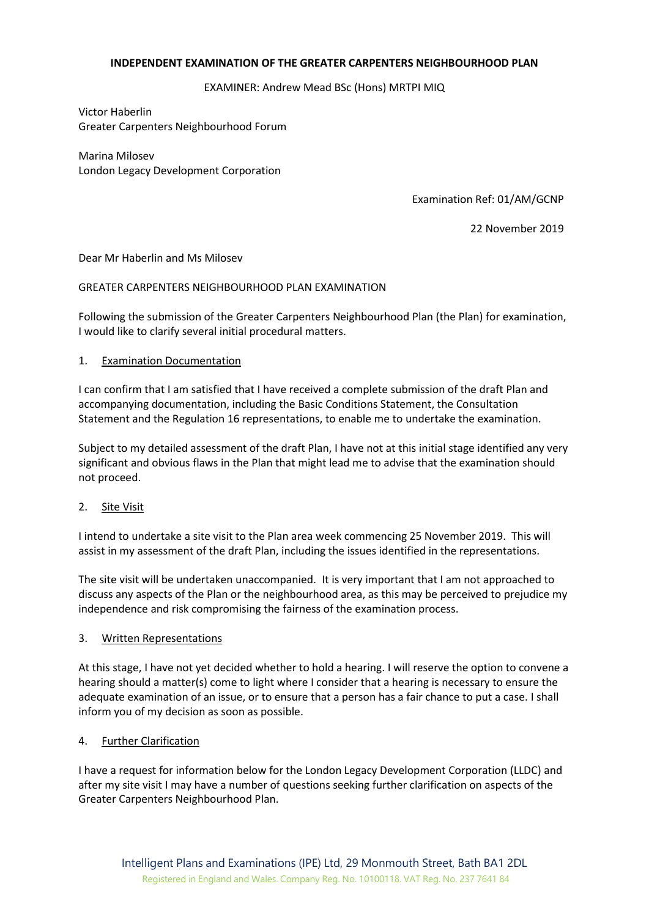## **INDEPENDENT EXAMINATION OF THE GREATER CARPENTERS NEIGHBOURHOOD PLAN**

EXAMINER: Andrew Mead BSc (Hons) MRTPI MIQ

Victor Haberlin Greater Carpenters Neighbourhood Forum

Marina Milosev London Legacy Development Corporation

Examination Ref: 01/AM/GCNP

22 November 2019

Dear Mr Haberlin and Ms Milosev

### GREATER CARPENTERS NEIGHBOURHOOD PLAN EXAMINATION

Following the submission of the Greater Carpenters Neighbourhood Plan (the Plan) for examination, I would like to clarify several initial procedural matters.

### 1. Examination Documentation

I can confirm that I am satisfied that I have received a complete submission of the draft Plan and accompanying documentation, including the Basic Conditions Statement, the Consultation Statement and the Regulation 16 representations, to enable me to undertake the examination.

Subject to my detailed assessment of the draft Plan, I have not at this initial stage identified any very significant and obvious flaws in the Plan that might lead me to advise that the examination should not proceed.

## 2. Site Visit

I intend to undertake a site visit to the Plan area week commencing 25 November 2019. This will assist in my assessment of the draft Plan, including the issues identified in the representations.

The site visit will be undertaken unaccompanied. It is very important that I am not approached to discuss any aspects of the Plan or the neighbourhood area, as this may be perceived to prejudice my independence and risk compromising the fairness of the examination process.

#### 3. Written Representations

At this stage, I have not yet decided whether to hold a hearing. I will reserve the option to convene a hearing should a matter(s) come to light where I consider that a hearing is necessary to ensure the adequate examination of an issue, or to ensure that a person has a fair chance to put a case. I shall inform you of my decision as soon as possible.

#### 4. Further Clarification

I have a request for information below for the London Legacy Development Corporation (LLDC) and after my site visit I may have a number of questions seeking further clarification on aspects of the Greater Carpenters Neighbourhood Plan.